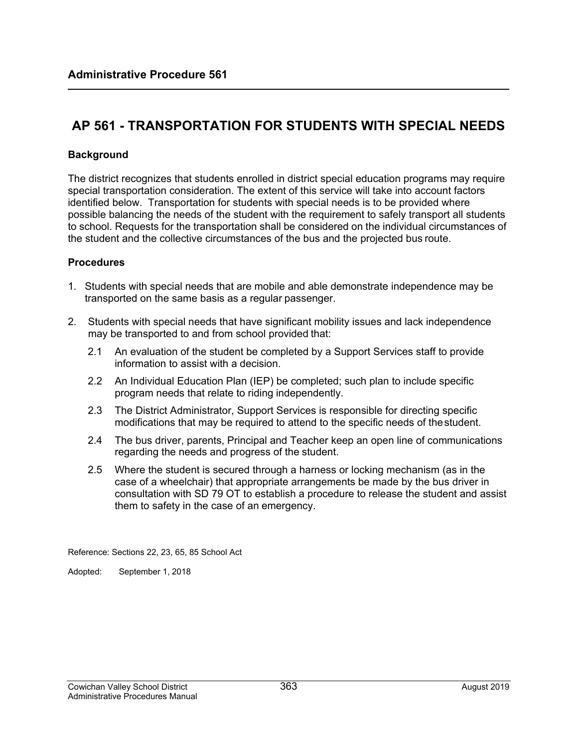# **AP 561 - TRANSPORTATION FOR STUDENTS WITH SPECIAL NEEDS**

### **Background**

The district recognizes that students enrolled in district special education programs may require special transportation consideration. The extent of this service will take into account factors identified below. Transportation for students with special needs is to be provided where possible balancing the needs of the student with the requirement to safely transport all students to school. Requests for the transportation shall be considered on the individual circumstances of the student and the collective circumstances of the bus and the projected bus route.

#### **Procedures**

- 1. Students with special needs that are mobile and able demonstrate independence may be transported on the same basis as a regular passenger.
- 2. Students with special needs that have significant mobility issues and lack independence may be transported to and from school provided that:
	- 2.1 An evaluation of the student be completed by a Support Services staff to provide information to assist with a decision.
	- 2.2 An Individual Education Plan (IEP) be completed; such plan to include specific program needs that relate to riding independently.
	- 2.3 The District Administrator, Support Services is responsible for directing specific modifications that may be required to attend to the specific needs of the student.
	- 2.4 The bus driver, parents, Principal and Teacher keep an open line of communications regarding the needs and progress of the student.
	- 2.5 Where the student is secured through a harness or locking mechanism (as in the case of a wheelchair) that appropriate arrangements be made by the bus driver in consultation with SD 79 OT to establish a procedure to release the student and assist them to safety in the case of an emergency.

Reference: Sections 22, 23, 65, 85 School Act

Adopted: September 1, 2018